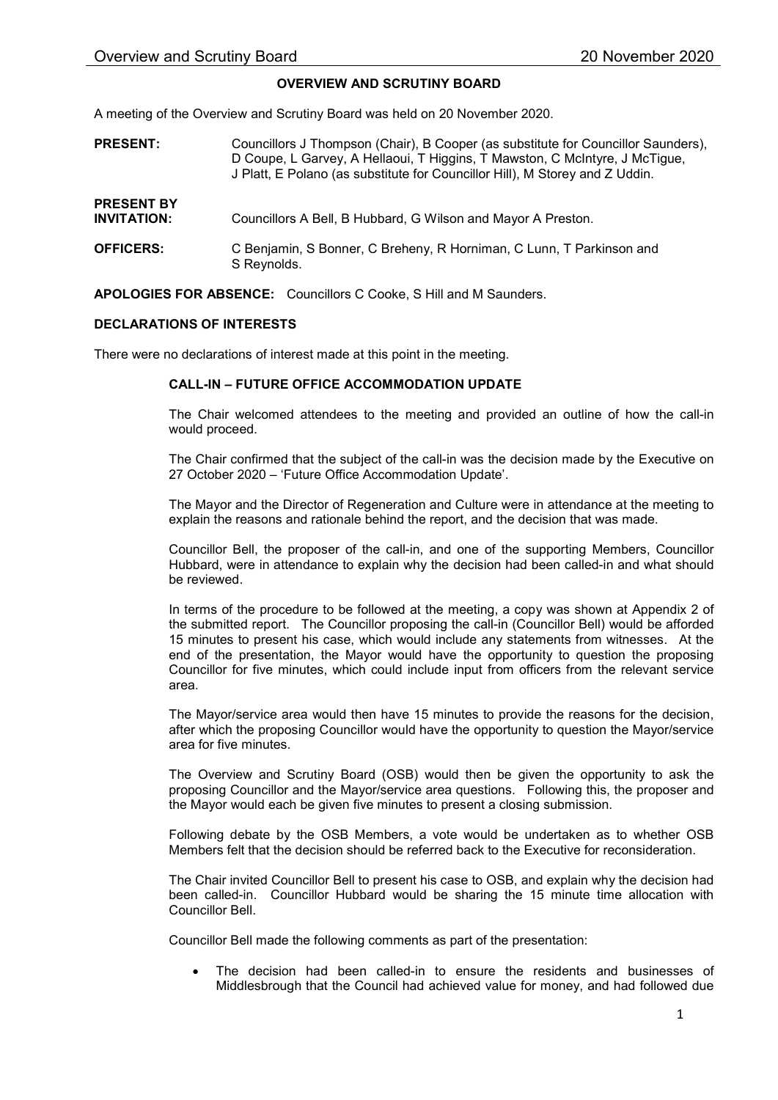## OVERVIEW AND SCRUTINY BOARD

A meeting of the Overview and Scrutiny Board was held on 20 November 2020.

PRESENT: PRESENT BY INVITATION: OFFICERS: Councillors J Thompson (Chair), B Cooper (as substitute for Councillor Saunders), D Coupe, L Garvey, A Hellaoui, T Higgins, T Mawston, C McIntyre, J McTigue, J Platt, E Polano (as substitute for Councillor Hill), M Storey and Z Uddin. Councillors A Bell, B Hubbard, G Wilson and Mayor A Preston. C Benjamin, S Bonner, C Breheny, R Horniman, C Lunn, T Parkinson and S Reynolds.

APOLOGIES FOR ABSENCE: Councillors C Cooke, S Hill and M Saunders.

## DECLARATIONS OF INTERESTS

There were no declarations of interest made at this point in the meeting.

## CALL-IN – FUTURE OFFICE ACCOMMODATION UPDATE

The Chair welcomed attendees to the meeting and provided an outline of how the call-in would proceed.

The Chair confirmed that the subject of the call-in was the decision made by the Executive on 27 October 2020 – 'Future Office Accommodation Update'.

The Mayor and the Director of Regeneration and Culture were in attendance at the meeting to explain the reasons and rationale behind the report, and the decision that was made.

Councillor Bell, the proposer of the call-in, and one of the supporting Members, Councillor Hubbard, were in attendance to explain why the decision had been called-in and what should be reviewed.

In terms of the procedure to be followed at the meeting, a copy was shown at Appendix 2 of the submitted report. The Councillor proposing the call-in (Councillor Bell) would be afforded 15 minutes to present his case, which would include any statements from witnesses. At the end of the presentation, the Mayor would have the opportunity to question the proposing Councillor for five minutes, which could include input from officers from the relevant service area.

The Mayor/service area would then have 15 minutes to provide the reasons for the decision, after which the proposing Councillor would have the opportunity to question the Mayor/service area for five minutes.

The Overview and Scrutiny Board (OSB) would then be given the opportunity to ask the proposing Councillor and the Mayor/service area questions. Following this, the proposer and the Mayor would each be given five minutes to present a closing submission.

Following debate by the OSB Members, a vote would be undertaken as to whether OSB Members felt that the decision should be referred back to the Executive for reconsideration.

The Chair invited Councillor Bell to present his case to OSB, and explain why the decision had been called-in. Councillor Hubbard would be sharing the 15 minute time allocation with Councillor Bell.

Councillor Bell made the following comments as part of the presentation:

 The decision had been called-in to ensure the residents and businesses of Middlesbrough that the Council had achieved value for money, and had followed due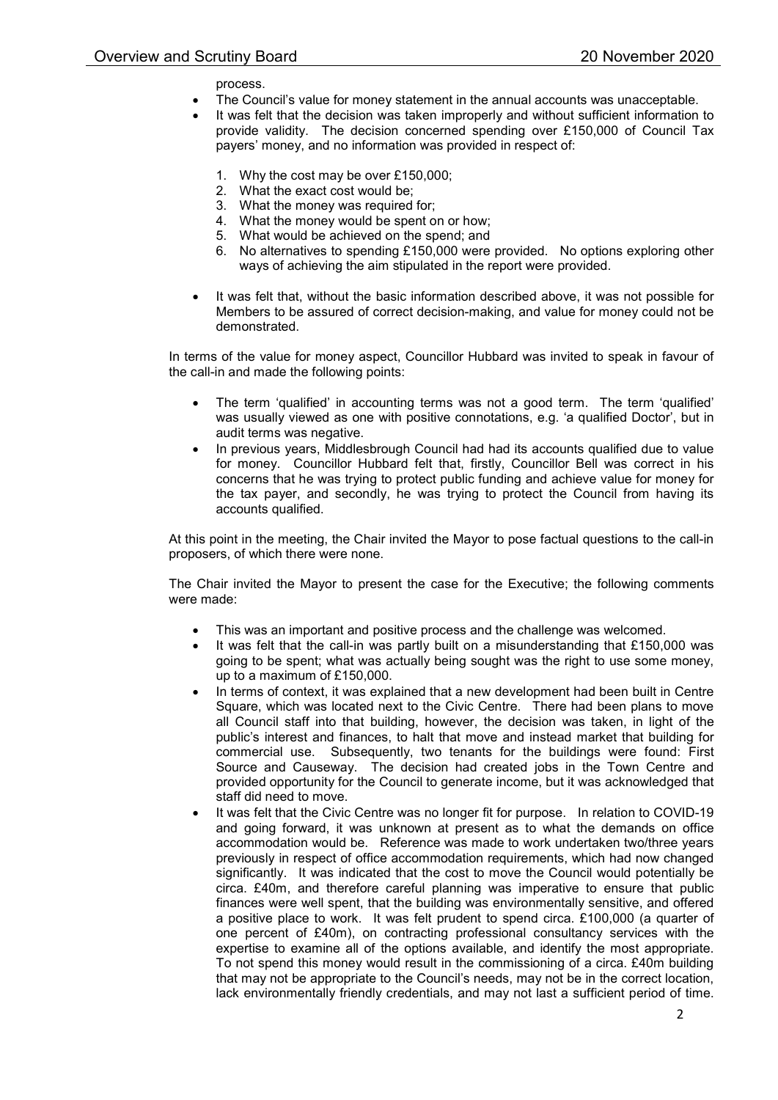process.

- The Council's value for money statement in the annual accounts was unacceptable.
- It was felt that the decision was taken improperly and without sufficient information to provide validity. The decision concerned spending over £150,000 of Council Tax payers' money, and no information was provided in respect of:
	- 1. Why the cost may be over £150,000;
	- 2. What the exact cost would be;
	- 3. What the money was required for;
	- 4. What the money would be spent on or how;
	- 5. What would be achieved on the spend; and
	- 6. No alternatives to spending £150,000 were provided. No options exploring other ways of achieving the aim stipulated in the report were provided.
- It was felt that, without the basic information described above, it was not possible for Members to be assured of correct decision-making, and value for money could not be demonstrated.

In terms of the value for money aspect, Councillor Hubbard was invited to speak in favour of the call-in and made the following points:

- The term 'qualified' in accounting terms was not a good term. The term 'qualified' was usually viewed as one with positive connotations, e.g. 'a qualified Doctor', but in audit terms was negative.
- In previous years, Middlesbrough Council had had its accounts qualified due to value for money. Councillor Hubbard felt that, firstly, Councillor Bell was correct in his concerns that he was trying to protect public funding and achieve value for money for the tax payer, and secondly, he was trying to protect the Council from having its accounts qualified.

At this point in the meeting, the Chair invited the Mayor to pose factual questions to the call-in proposers, of which there were none.

The Chair invited the Mayor to present the case for the Executive; the following comments were made:

- This was an important and positive process and the challenge was welcomed.
- It was felt that the call-in was partly built on a misunderstanding that £150,000 was going to be spent; what was actually being sought was the right to use some money, up to a maximum of £150,000.
- In terms of context, it was explained that a new development had been built in Centre Square, which was located next to the Civic Centre. There had been plans to move all Council staff into that building, however, the decision was taken, in light of the public's interest and finances, to halt that move and instead market that building for commercial use. Subsequently, two tenants for the buildings were found: First Source and Causeway. The decision had created jobs in the Town Centre and provided opportunity for the Council to generate income, but it was acknowledged that staff did need to move.
- It was felt that the Civic Centre was no longer fit for purpose. In relation to COVID-19 and going forward, it was unknown at present as to what the demands on office accommodation would be. Reference was made to work undertaken two/three years previously in respect of office accommodation requirements, which had now changed significantly. It was indicated that the cost to move the Council would potentially be circa. £40m, and therefore careful planning was imperative to ensure that public finances were well spent, that the building was environmentally sensitive, and offered a positive place to work. It was felt prudent to spend circa. £100,000 (a quarter of one percent of £40m), on contracting professional consultancy services with the expertise to examine all of the options available, and identify the most appropriate. To not spend this money would result in the commissioning of a circa. £40m building that may not be appropriate to the Council's needs, may not be in the correct location, lack environmentally friendly credentials, and may not last a sufficient period of time.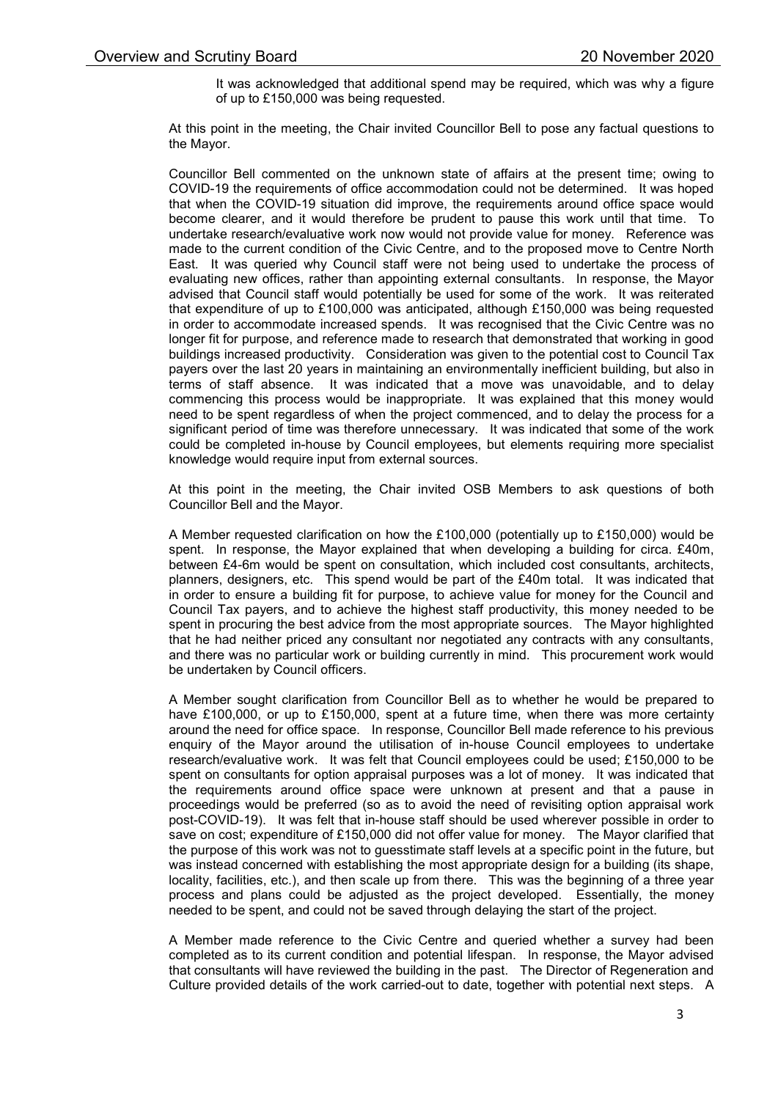It was acknowledged that additional spend may be required, which was why a figure of up to £150,000 was being requested.

At this point in the meeting, the Chair invited Councillor Bell to pose any factual questions to the Mayor.

Councillor Bell commented on the unknown state of affairs at the present time; owing to COVID-19 the requirements of office accommodation could not be determined. It was hoped that when the COVID-19 situation did improve, the requirements around office space would become clearer, and it would therefore be prudent to pause this work until that time. To undertake research/evaluative work now would not provide value for money. Reference was made to the current condition of the Civic Centre, and to the proposed move to Centre North East. It was queried why Council staff were not being used to undertake the process of evaluating new offices, rather than appointing external consultants. In response, the Mayor advised that Council staff would potentially be used for some of the work. It was reiterated that expenditure of up to £100,000 was anticipated, although £150,000 was being requested in order to accommodate increased spends. It was recognised that the Civic Centre was no longer fit for purpose, and reference made to research that demonstrated that working in good buildings increased productivity. Consideration was given to the potential cost to Council Tax payers over the last 20 years in maintaining an environmentally inefficient building, but also in terms of staff absence. It was indicated that a move was unavoidable, and to delay commencing this process would be inappropriate. It was explained that this money would need to be spent regardless of when the project commenced, and to delay the process for a significant period of time was therefore unnecessary. It was indicated that some of the work could be completed in-house by Council employees, but elements requiring more specialist knowledge would require input from external sources.

At this point in the meeting, the Chair invited OSB Members to ask questions of both Councillor Bell and the Mayor.

A Member requested clarification on how the £100,000 (potentially up to £150,000) would be spent. In response, the Mayor explained that when developing a building for circa. £40m, between £4-6m would be spent on consultation, which included cost consultants, architects, planners, designers, etc. This spend would be part of the £40m total. It was indicated that in order to ensure a building fit for purpose, to achieve value for money for the Council and Council Tax payers, and to achieve the highest staff productivity, this money needed to be spent in procuring the best advice from the most appropriate sources. The Mayor highlighted that he had neither priced any consultant nor negotiated any contracts with any consultants, and there was no particular work or building currently in mind. This procurement work would be undertaken by Council officers.

A Member sought clarification from Councillor Bell as to whether he would be prepared to have £100,000, or up to £150,000, spent at a future time, when there was more certainty around the need for office space. In response, Councillor Bell made reference to his previous enquiry of the Mayor around the utilisation of in-house Council employees to undertake research/evaluative work. It was felt that Council employees could be used; £150,000 to be spent on consultants for option appraisal purposes was a lot of money. It was indicated that the requirements around office space were unknown at present and that a pause in proceedings would be preferred (so as to avoid the need of revisiting option appraisal work post-COVID-19). It was felt that in-house staff should be used wherever possible in order to save on cost; expenditure of £150,000 did not offer value for money. The Mayor clarified that the purpose of this work was not to guesstimate staff levels at a specific point in the future, but was instead concerned with establishing the most appropriate design for a building (its shape, locality, facilities, etc.), and then scale up from there. This was the beginning of a three year process and plans could be adjusted as the project developed. Essentially, the money needed to be spent, and could not be saved through delaying the start of the project.

A Member made reference to the Civic Centre and queried whether a survey had been completed as to its current condition and potential lifespan. In response, the Mayor advised that consultants will have reviewed the building in the past. The Director of Regeneration and Culture provided details of the work carried-out to date, together with potential next steps. A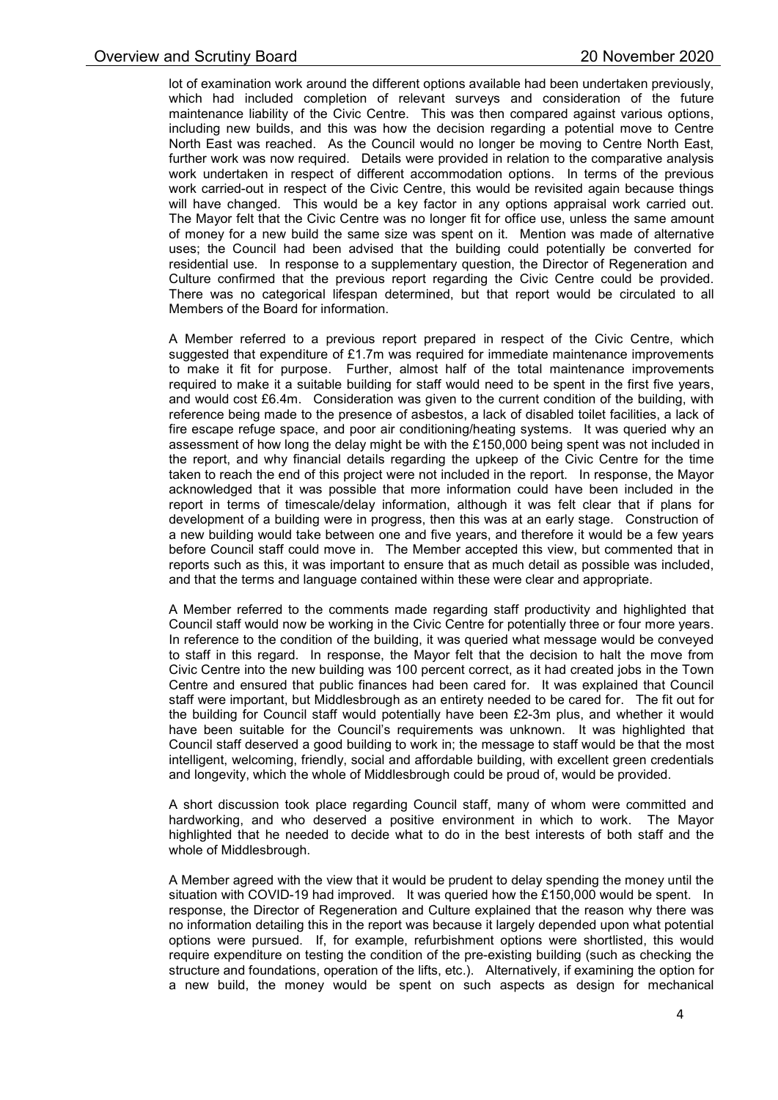lot of examination work around the different options available had been undertaken previously, which had included completion of relevant surveys and consideration of the future maintenance liability of the Civic Centre. This was then compared against various options, including new builds, and this was how the decision regarding a potential move to Centre North East was reached. As the Council would no longer be moving to Centre North East, further work was now required. Details were provided in relation to the comparative analysis work undertaken in respect of different accommodation options. In terms of the previous work carried-out in respect of the Civic Centre, this would be revisited again because things will have changed. This would be a key factor in any options appraisal work carried out. The Mayor felt that the Civic Centre was no longer fit for office use, unless the same amount of money for a new build the same size was spent on it. Mention was made of alternative uses; the Council had been advised that the building could potentially be converted for residential use. In response to a supplementary question, the Director of Regeneration and Culture confirmed that the previous report regarding the Civic Centre could be provided. There was no categorical lifespan determined, but that report would be circulated to all Members of the Board for information.

A Member referred to a previous report prepared in respect of the Civic Centre, which suggested that expenditure of £1.7m was required for immediate maintenance improvements to make it fit for purpose. Further, almost half of the total maintenance improvements required to make it a suitable building for staff would need to be spent in the first five years, and would cost £6.4m. Consideration was given to the current condition of the building, with reference being made to the presence of asbestos, a lack of disabled toilet facilities, a lack of fire escape refuge space, and poor air conditioning/heating systems. It was queried why an assessment of how long the delay might be with the £150,000 being spent was not included in the report, and why financial details regarding the upkeep of the Civic Centre for the time taken to reach the end of this project were not included in the report. In response, the Mayor acknowledged that it was possible that more information could have been included in the report in terms of timescale/delay information, although it was felt clear that if plans for development of a building were in progress, then this was at an early stage. Construction of a new building would take between one and five years, and therefore it would be a few years before Council staff could move in. The Member accepted this view, but commented that in reports such as this, it was important to ensure that as much detail as possible was included, and that the terms and language contained within these were clear and appropriate.

A Member referred to the comments made regarding staff productivity and highlighted that Council staff would now be working in the Civic Centre for potentially three or four more years. In reference to the condition of the building, it was queried what message would be conveyed to staff in this regard. In response, the Mayor felt that the decision to halt the move from Civic Centre into the new building was 100 percent correct, as it had created jobs in the Town Centre and ensured that public finances had been cared for. It was explained that Council staff were important, but Middlesbrough as an entirety needed to be cared for. The fit out for the building for Council staff would potentially have been £2-3m plus, and whether it would have been suitable for the Council's requirements was unknown. It was highlighted that Council staff deserved a good building to work in; the message to staff would be that the most intelligent, welcoming, friendly, social and affordable building, with excellent green credentials and longevity, which the whole of Middlesbrough could be proud of, would be provided.

A short discussion took place regarding Council staff, many of whom were committed and hardworking, and who deserved a positive environment in which to work. The Mayor highlighted that he needed to decide what to do in the best interests of both staff and the whole of Middlesbrough.

A Member agreed with the view that it would be prudent to delay spending the money until the situation with COVID-19 had improved. It was queried how the £150,000 would be spent. In response, the Director of Regeneration and Culture explained that the reason why there was no information detailing this in the report was because it largely depended upon what potential options were pursued. If, for example, refurbishment options were shortlisted, this would require expenditure on testing the condition of the pre-existing building (such as checking the structure and foundations, operation of the lifts, etc.). Alternatively, if examining the option for a new build, the money would be spent on such aspects as design for mechanical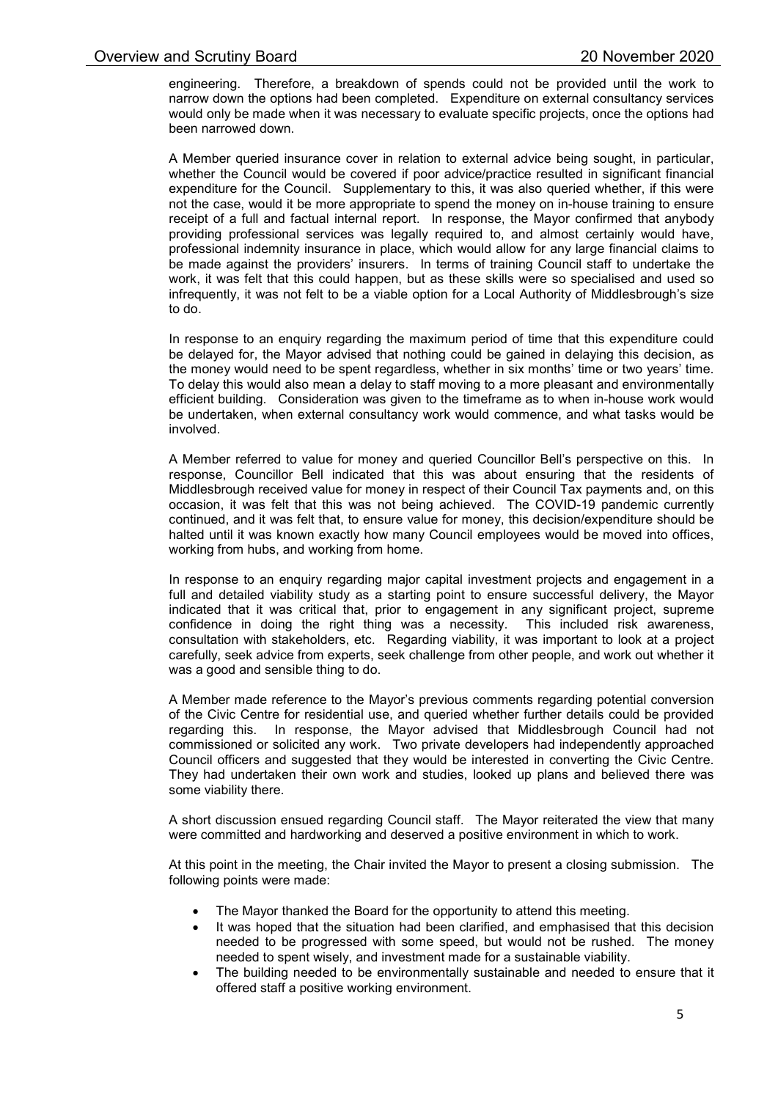engineering. Therefore, a breakdown of spends could not be provided until the work to narrow down the options had been completed. Expenditure on external consultancy services would only be made when it was necessary to evaluate specific projects, once the options had been narrowed down.

A Member queried insurance cover in relation to external advice being sought, in particular, whether the Council would be covered if poor advice/practice resulted in significant financial expenditure for the Council. Supplementary to this, it was also queried whether, if this were not the case, would it be more appropriate to spend the money on in-house training to ensure receipt of a full and factual internal report. In response, the Mayor confirmed that anybody providing professional services was legally required to, and almost certainly would have, professional indemnity insurance in place, which would allow for any large financial claims to be made against the providers' insurers. In terms of training Council staff to undertake the work, it was felt that this could happen, but as these skills were so specialised and used so infrequently, it was not felt to be a viable option for a Local Authority of Middlesbrough's size to do.

In response to an enquiry regarding the maximum period of time that this expenditure could be delayed for, the Mayor advised that nothing could be gained in delaying this decision, as the money would need to be spent regardless, whether in six months' time or two years' time. To delay this would also mean a delay to staff moving to a more pleasant and environmentally efficient building. Consideration was given to the timeframe as to when in-house work would be undertaken, when external consultancy work would commence, and what tasks would be involved.

A Member referred to value for money and queried Councillor Bell's perspective on this. In response, Councillor Bell indicated that this was about ensuring that the residents of Middlesbrough received value for money in respect of their Council Tax payments and, on this occasion, it was felt that this was not being achieved. The COVID-19 pandemic currently continued, and it was felt that, to ensure value for money, this decision/expenditure should be halted until it was known exactly how many Council employees would be moved into offices, working from hubs, and working from home.

In response to an enquiry regarding major capital investment projects and engagement in a full and detailed viability study as a starting point to ensure successful delivery, the Mayor indicated that it was critical that, prior to engagement in any significant project, supreme confidence in doing the right thing was a necessity. This included risk awareness, consultation with stakeholders, etc. Regarding viability, it was important to look at a project carefully, seek advice from experts, seek challenge from other people, and work out whether it was a good and sensible thing to do.

A Member made reference to the Mayor's previous comments regarding potential conversion of the Civic Centre for residential use, and queried whether further details could be provided regarding this. In response, the Mayor advised that Middlesbrough Council had not commissioned or solicited any work. Two private developers had independently approached Council officers and suggested that they would be interested in converting the Civic Centre. They had undertaken their own work and studies, looked up plans and believed there was some viability there.

A short discussion ensued regarding Council staff. The Mayor reiterated the view that many were committed and hardworking and deserved a positive environment in which to work.

At this point in the meeting, the Chair invited the Mayor to present a closing submission. The following points were made:

- The Mayor thanked the Board for the opportunity to attend this meeting.
- It was hoped that the situation had been clarified, and emphasised that this decision needed to be progressed with some speed, but would not be rushed. The money needed to spent wisely, and investment made for a sustainable viability.
- The building needed to be environmentally sustainable and needed to ensure that it offered staff a positive working environment.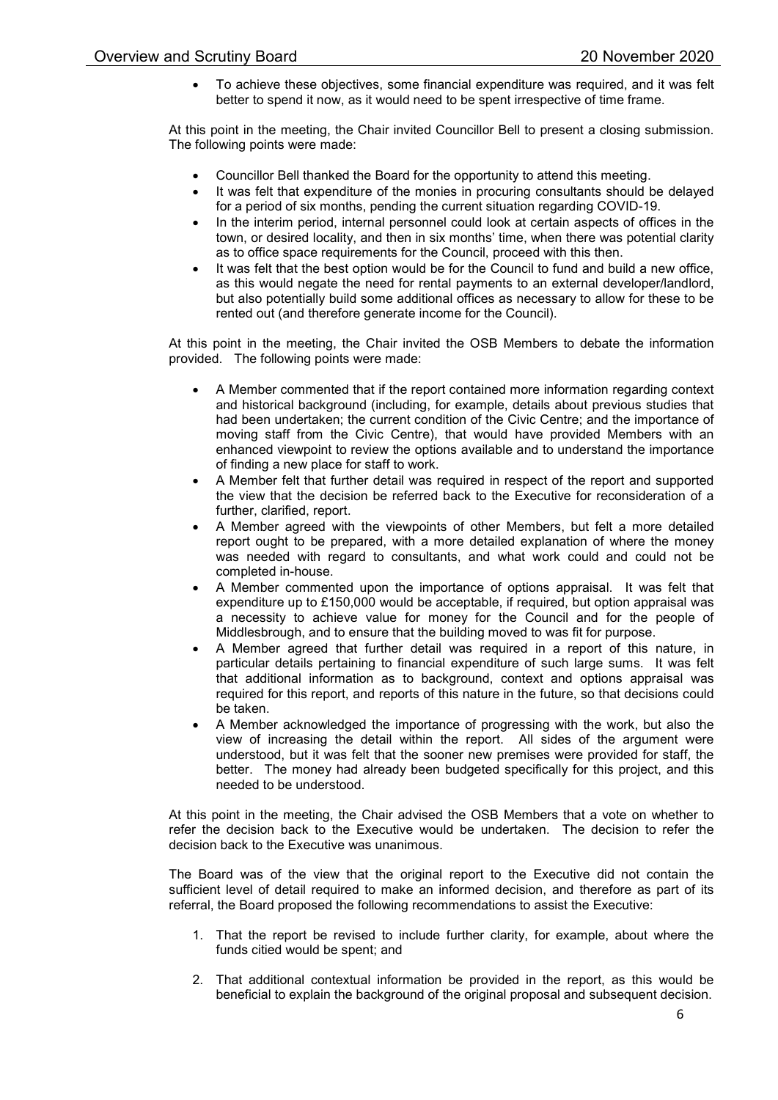To achieve these objectives, some financial expenditure was required, and it was felt better to spend it now, as it would need to be spent irrespective of time frame.

At this point in the meeting, the Chair invited Councillor Bell to present a closing submission. The following points were made:

- Councillor Bell thanked the Board for the opportunity to attend this meeting.
- It was felt that expenditure of the monies in procuring consultants should be delayed for a period of six months, pending the current situation regarding COVID-19.
- In the interim period, internal personnel could look at certain aspects of offices in the town, or desired locality, and then in six months' time, when there was potential clarity as to office space requirements for the Council, proceed with this then.
- It was felt that the best option would be for the Council to fund and build a new office, as this would negate the need for rental payments to an external developer/landlord, but also potentially build some additional offices as necessary to allow for these to be rented out (and therefore generate income for the Council).

At this point in the meeting, the Chair invited the OSB Members to debate the information provided. The following points were made:

- A Member commented that if the report contained more information regarding context and historical background (including, for example, details about previous studies that had been undertaken; the current condition of the Civic Centre; and the importance of moving staff from the Civic Centre), that would have provided Members with an enhanced viewpoint to review the options available and to understand the importance of finding a new place for staff to work.
- A Member felt that further detail was required in respect of the report and supported the view that the decision be referred back to the Executive for reconsideration of a further, clarified, report.
- A Member agreed with the viewpoints of other Members, but felt a more detailed report ought to be prepared, with a more detailed explanation of where the money was needed with regard to consultants, and what work could and could not be completed in-house.
- A Member commented upon the importance of options appraisal. It was felt that expenditure up to £150,000 would be acceptable, if required, but option appraisal was a necessity to achieve value for money for the Council and for the people of Middlesbrough, and to ensure that the building moved to was fit for purpose.
- A Member agreed that further detail was required in a report of this nature, in particular details pertaining to financial expenditure of such large sums. It was felt that additional information as to background, context and options appraisal was required for this report, and reports of this nature in the future, so that decisions could be taken.
- A Member acknowledged the importance of progressing with the work, but also the view of increasing the detail within the report. All sides of the argument were understood, but it was felt that the sooner new premises were provided for staff, the better. The money had already been budgeted specifically for this project, and this needed to be understood.

At this point in the meeting, the Chair advised the OSB Members that a vote on whether to refer the decision back to the Executive would be undertaken. The decision to refer the decision back to the Executive was unanimous.

The Board was of the view that the original report to the Executive did not contain the sufficient level of detail required to make an informed decision, and therefore as part of its referral, the Board proposed the following recommendations to assist the Executive:

- 1. That the report be revised to include further clarity, for example, about where the funds citied would be spent; and
- 2. That additional contextual information be provided in the report, as this would be beneficial to explain the background of the original proposal and subsequent decision.